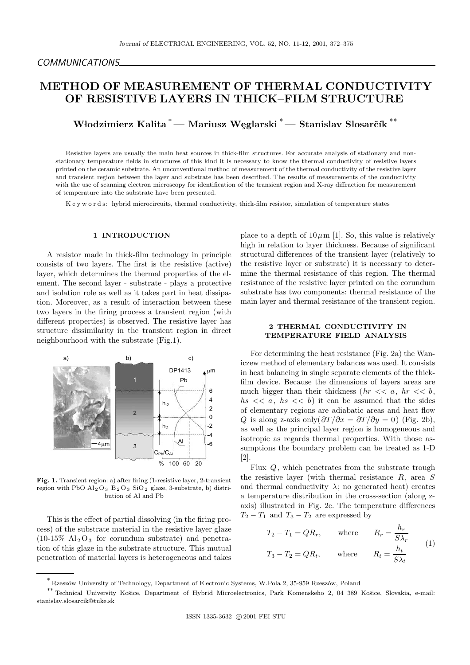# METHOD OF MEASUREMENT OF THERMAL CONDUCTIVITY OF RESISTIVE LAYERS IN THICK–FILM STRUCTURE

Włodzimierz Kalita <sup>\*</sup> — Mariusz Węglarski <sup>\*</sup> — Stanislav Slosarčík <sup>\*\*</sup>

Resistive layers are usually the main heat sources in thick-film structures. For accurate analysis of stationary and nonstationary temperature fields in structures of this kind it is necessary to know the thermal conductivity of resistive layers printed on the ceramic substrate. An unconventional method of measurement of the thermal conductivity of the resistive layer and transient region between the layer and substrate has been described. The results of measurements of the conductivity with the use of scanning electron microscopy for identification of the transient region and X-ray diffraction for measurement of temperature into the substrate have been presented.

K e y w o r d s: hybrid microcircuits, thermal conductivity, thick-film resistor, simulation of temperature states

#### 1 INTRODUCTION

A resistor made in thick-film technology in principle consists of two layers. The first is the resistive (active) layer, which determines the thermal properties of the element. The second layer - substrate - plays a protective and isolation role as well as it takes part in heat dissipation. Moreover, as a result of interaction between these two layers in the firing process a transient region (with different properties) is observed. The resistive layer has structure dissimilarity in the transient region in direct neighbourhood with the substrate (Fig.1).



Fig. 1. Transient region: a) after firing (1-resistive layer, 2-transient region with PbO  $\text{Al}_2\text{O}_3$   $\text{B}_2\text{O}_3$  SiO<sub>2</sub> glaze, 3-substrate, b) distribution of Al and Pb

This is the effect of partial dissolving (in the firing process) of the substrate material in the resistive layer glaze  $(10-15\% \text{ Al}_2\text{O}_3)$  for corundum substrate) and penetration of this glaze in the substrate structure. This mutual penetration of material layers is heterogeneous and takes place to a depth of  $10 \mu m$  [1]. So, this value is relatively high in relation to layer thickness. Because of significant structural differences of the transient layer (relatively to the resistive layer or substrate) it is necessary to determine the thermal resistance of this region. The thermal resistance of the resistive layer printed on the corundum substrate has two components: thermal resistance of the main layer and thermal resistance of the transient region.

## 2 THERMAL CONDUCTIVITY IN TEMPERATURE FIELD ANALYSIS

For determining the heat resistance (Fig. 2a) the Waniczew method of elementary balances was used. It consists in heat balancing in single separate elements of the thickfilm device. Because the dimensions of layers areas are much bigger than their thickness  $(hr \ll a, hr \ll b,$  $hs \lt \lt a$ ,  $hs \lt \lt b$  it can be assumed that the sides of elementary regions are adiabatic areas and heat flow Q is along z-axis only $(\partial T/\partial x = \partial T/\partial y = 0)$  (Fig. 2b), as well as the principal layer region is homogeneous and isotropic as regards thermal properties. With those assumptions the boundary problem can be treated as 1-D [2].

Flux  $Q$ , which penetrates from the substrate trough the resistive layer (with thermal resistance R, area S and thermal conductivity  $\lambda$ ; no generated heat) creates a temperature distribution in the cross-section (along zaxis) illustrated in Fig. 2c. The temperature differences  $T_2 - T_1$  and  $T_3 - T_2$  are expressed by

$$
T_2 - T_1 = QR_r, \qquad \text{where} \qquad R_r = \frac{h_r}{S\lambda_r}
$$
  

$$
T_3 - T_2 = QR_t, \qquad \text{where} \qquad R_t = \frac{h_t}{S\lambda_t}
$$
 (1)

<sup>\*&</sup>lt;br>Kzeszów University of Technology, Department of Electronic Systems, W.Pola 2, 35-959 Rzeszów, Poland

<sup>\*\*</sup> Technical University Košice, Department of Hybrid Microelectronics, Park Komenskeho 2, 04 389 Košice, Slovakia, e-mail: stanislav.slosarcik@tuke.sk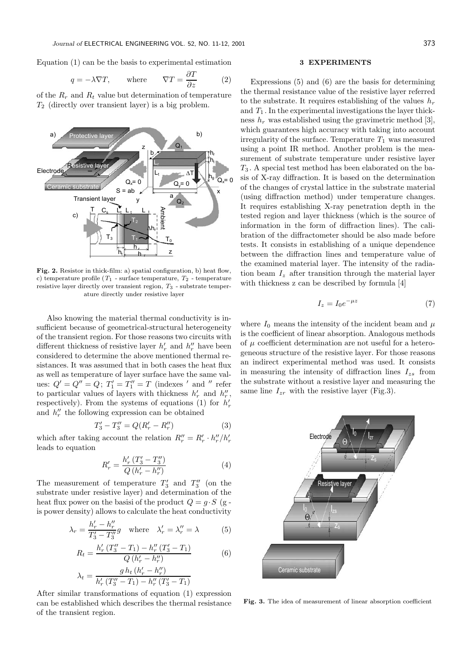Equation (1) can be the basis to experimental estimation

$$
q = -\lambda \nabla T
$$
, where  $\nabla T = \frac{\partial T}{\partial z}$  (2)

of the  $R_r$  and  $R_t$  value but determination of temperature  $T_2$  (directly over transient layer) is a big problem.



Fig. 2. Resistor in thick-film: a) spatial configuration, b) heat flow, c) temperature profile  $(T_1$  - surface temperature,  $T_2$  - temperature resistive layer directly over transient region,  $T_3$  - substrate temperature directly under resistive layer

Also knowing the material thermal conductivity is insufficient because of geometrical-structural heterogeneity of the transient region. For those reasons two circuits with different thickness of resistive layer  $h'_r$  and  $h''_r$  have been considered to determine the above mentioned thermal resistances. It was assumed that in both cases the heat flux as well as temperature of layer surface have the same values:  $Q' = Q'' = Q$ ;  $T'_1 = T''_1 = T$  (indexes ' and " refer to particular values of layers with thickness  $h'_r$  and  $h''_r$ , respectively). From the systems of equations (1) for  $h'_r$ and  $h_r''$  the following expression can be obtained

$$
T_3' - T_3'' = Q(R_r' - R_r'')
$$
 (3)

which after taking account the relation  $R''_r = R'_r \cdot h''_r / h'_r$ leads to equation

$$
R'_{r} = \frac{h'_{r} (T'_{3} - T''_{3})}{Q (h'_{r} - h''_{r})}
$$
\n(4)

The measurement of temperature  $T_3'$  and  $T_3''$  (on the substrate under resistive layer) and determination of the heat flux power on the basisi of the product  $Q = g \cdot S$  (g is power density) allows to calculate the heat conductivity

$$
\lambda_r = \frac{h'_r - h''_r}{T'_3 - T''_3}g \quad \text{where} \quad \lambda'_r = \lambda''_r = \lambda \tag{5}
$$

$$
R_{t} = \frac{h'_{r} (T''_{3} - T_{1}) - h''_{r} (T'_{3} - T_{1})}{Q (h'_{r} - h''_{r})}
$$
(6)  

$$
g h_{t} (h'_{r} - h''_{r})
$$

$$
\lambda_t = \frac{g h_t (h'_r - h''_r)}{h'_r (T''_3 - T_1) - h''_r (T'_3 - T_1)}
$$

After similar transformations of equation (1) expression can be established which describes the thermal resistance of the transient region.

## 3 EXPERIMENTS

Expressions (5) and (6) are the basis for determining the thermal resistance value of the resistive layer referred to the substrate. It requires establishing of the values  $h_r$ and  $T_1$ . In the experimental investigations the layer thickness  $h_r$  was established using the gravimetric method [3], which guarantees high accuracy with taking into account irregularity of the surface. Temperature  $T_1$  was measured using a point IR method. Another problem is the measurement of substrate temperature under resistive layer  $T_3$ . A special test method has been elaborated on the basis of X-ray diffraction. It is based on the determination of the changes of crystal lattice in the substrate material (using diffraction method) under temperature changes. It requires establishing X-ray penetration depth in the tested region and layer thickness (which is the source of information in the form of diffraction lines). The calibration of the diffractometer should be also made before tests. It consists in establishing of a unique dependence between the diffraction lines and temperature value of the examined material layer. The intensity of the radiation beam  $I_z$  after transition through the material layer with thickness z can be described by formula [4]

$$
I_z = I_0 e^{-\mu z} \tag{7}
$$

where  $I_0$  means the intensity of the incident beam and  $\mu$ is the coefficient of linear absorption. Analogous methods of  $\mu$  coefficient determination are not useful for a heterogeneous structure of the resistive layer. For those reasons an indirect experimental method was used. It consists in measuring the intensity of diffraction lines  $I_{zs}$  from the substrate without a resistive layer and measuring the same line  $I_{zr}$  with the resistive layer (Fig.3).



Fig. 3. The idea of measurement of linear absorption coefficient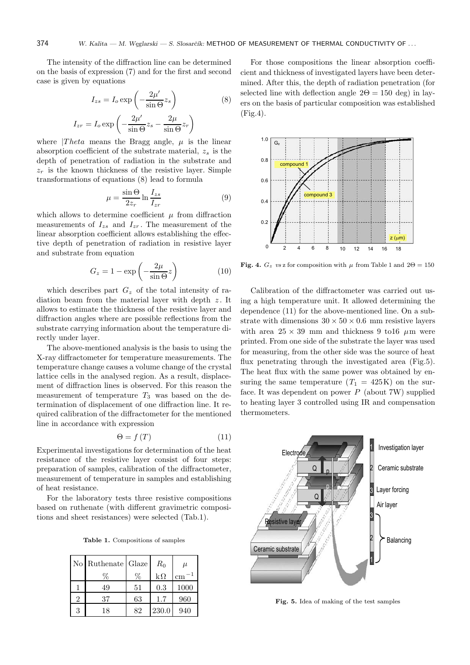The intensity of the diffraction line can be determined on the basis of expression (7) and for the first and second case is given by equations

$$
I_{zs} = I_o \exp\left(-\frac{2\mu'}{\sin \Theta} z_s\right) \tag{8}
$$

$$
I_{zr} = I_o \exp\left(-\frac{2\mu'}{\sin\Theta}z_s - \frac{2\mu}{\sin\Theta}z_r\right)
$$

where  $|Theta$  means the Bragg angle,  $\mu$  is the linear absorption coefficient of the substrate material,  $z_s$  is the depth of penetration of radiation in the substrate and  $z_r$  is the known thickness of the resistive layer. Simple transformations of equations (8) lead to formula

$$
\mu = \frac{\sin \Theta}{2z_r} \ln \frac{I_{zs}}{I_{zr}} \tag{9}
$$

which allows to determine coefficient  $\mu$  from diffraction measurements of  $I_{zs}$  and  $I_{zr}$ . The measurement of the linear absorption coefficient allows establishing the effective depth of penetration of radiation in resistive layer and substrate from equation

$$
G_z = 1 - \exp\left(-\frac{2\mu}{\sin \Theta} z\right) \tag{10}
$$

which describes part  $G_z$  of the total intensity of radiation beam from the material layer with depth  $z$ . It allows to estimate the thickness of the resistive layer and diffraction angles where are possible reflections from the substrate carrying information about the temperature directly under layer.

The above-mentioned analysis is the basis to using the X-ray diffractometer for temperature measurements. The temperature change causes a volume change of the crystal lattice cells in the analysed region. As a result, displacement of diffraction lines is observed. For this reason the measurement of temperature  $T_3$  was based on the determination of displacement of one diffraction line. It required calibration of the diffractometer for the mentioned line in accordance with expression

$$
\Theta = f(T) \tag{11}
$$

Experimental investigations for determination of the heat resistance of the resistive layer consist of four steps: preparation of samples, calibration of the diffractometer, measurement of temperature in samples and establishing of heat resistance.

For the laboratory tests three resistive compositions based on ruthenate (with different gravimetric compositions and sheet resistances) were selected (Tab.1).

Table 1. Compositions of samples

|   | No Ruthenate Glaze |    | $R_0$     | $\mu$ |  |
|---|--------------------|----|-----------|-------|--|
|   |                    |    | $k\Omega$ | cm    |  |
|   | 49                 | 51 | 0.3       | 1000  |  |
| 2 | 37                 | 63 | $1.7\,$   | 960   |  |
| 3 | 18                 | 82 | 230.0     | 940   |  |

For those compositions the linear absorption coefficient and thickness of investigated layers have been determined. After this, the depth of radiation penetration (for selected line with deflection angle  $2\Theta = 150$  deg) in layers on the basis of particular composition was established (Fig.4).



Fig. 4.  $G_z$  vs z for composition with  $\mu$  from Table 1 and  $2\Theta = 150$ 

Calibration of the diffractometer was carried out using a high temperature unit. It allowed determining the dependence (11) for the above-mentioned line. On a substrate with dimensions  $30 \times 50 \times 0.6$  mm resistive layers with area  $25 \times 39$  mm and thickness 9 to 16  $\mu$ m were printed. From one side of the substrate the layer was used for measuring, from the other side was the source of heat flux penetrating through the investigated area (Fig.5). The heat flux with the same power was obtained by ensuring the same temperature  $(T_1 = 425K)$  on the surface. It was dependent on power  $P$  (about 7W) supplied to heating layer 3 controlled using IR and compensation thermometers.



Fig. 5. Idea of making of the test samples